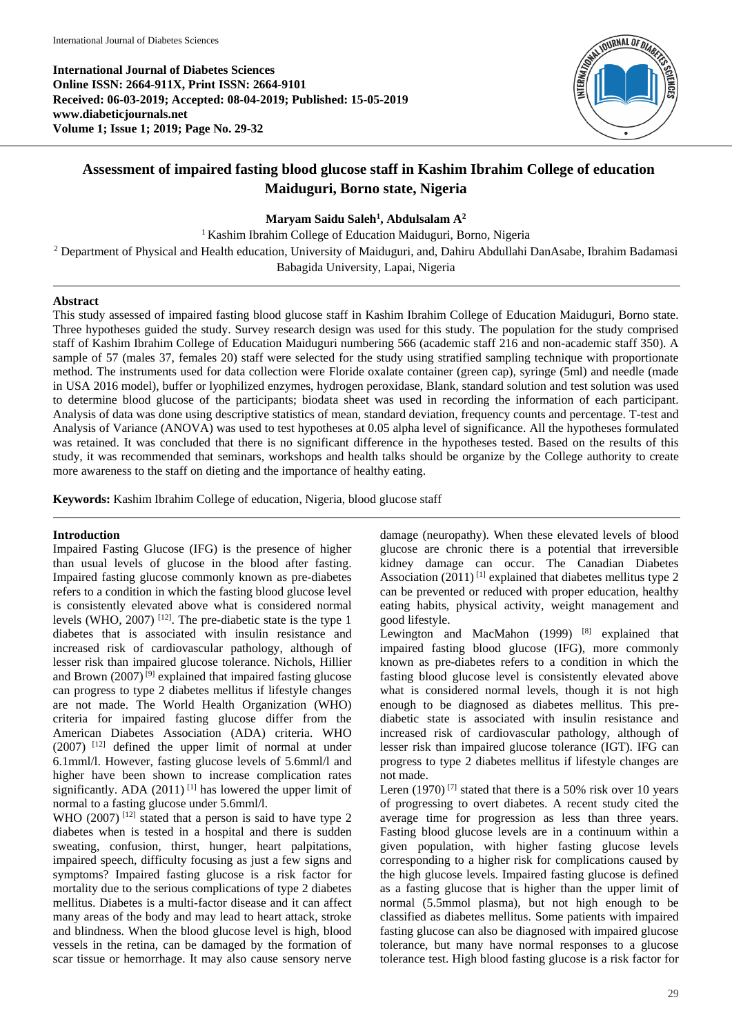**International Journal of Diabetes Sciences Online ISSN: 2664-911X, Print ISSN: 2664-9101 Received: 06-03-2019; Accepted: 08-04-2019; Published: 15-05-2019 www.diabeticjournals.net Volume 1; Issue 1; 2019; Page No. 29-32**



# **Assessment of impaired fasting blood glucose staff in Kashim Ibrahim College of education Maiduguri, Borno state, Nigeria**

**Maryam Saidu Saleh<sup>1</sup> , Abdulsalam A<sup>2</sup>**

<sup>1</sup> Kashim Ibrahim College of Education Maiduguri, Borno, Nigeria <sup>2</sup> Department of Physical and Health education, University of Maiduguri, and, Dahiru Abdullahi DanAsabe, Ibrahim Badamasi Babagida University, Lapai, Nigeria

# **Abstract**

This study assessed of impaired fasting blood glucose staff in Kashim Ibrahim College of Education Maiduguri, Borno state. Three hypotheses guided the study. Survey research design was used for this study. The population for the study comprised staff of Kashim Ibrahim College of Education Maiduguri numbering 566 (academic staff 216 and non-academic staff 350). A sample of 57 (males 37, females 20) staff were selected for the study using stratified sampling technique with proportionate method. The instruments used for data collection were Floride oxalate container (green cap), syringe (5ml) and needle (made in USA 2016 model), buffer or lyophilized enzymes, hydrogen peroxidase, Blank, standard solution and test solution was used to determine blood glucose of the participants; biodata sheet was used in recording the information of each participant. Analysis of data was done using descriptive statistics of mean, standard deviation, frequency counts and percentage. T-test and Analysis of Variance (ANOVA) was used to test hypotheses at 0.05 alpha level of significance. All the hypotheses formulated was retained. It was concluded that there is no significant difference in the hypotheses tested. Based on the results of this study, it was recommended that seminars, workshops and health talks should be organize by the College authority to create more awareness to the staff on dieting and the importance of healthy eating.

**Keywords:** Kashim Ibrahim College of education, Nigeria, blood glucose staff

# **Introduction**

Impaired Fasting Glucose (IFG) is the presence of higher than usual levels of glucose in the blood after fasting. Impaired fasting glucose commonly known as pre-diabetes refers to a condition in which the fasting blood glucose level is consistently elevated above what is considered normal levels (WHO, 2007)  $^{[12]}$ . The pre-diabetic state is the type 1 diabetes that is associated with insulin resistance and increased risk of cardiovascular pathology, although of lesser risk than impaired glucose tolerance. Nichols, Hillier and Brown  $(2007)^{9}$  explained that impaired fasting glucose can progress to type 2 diabetes mellitus if lifestyle changes are not made. The World Health Organization (WHO) criteria for impaired fasting glucose differ from the American Diabetes Association (ADA) criteria. WHO (2007) [12] defined the upper limit of normal at under 6.1mml/l. However, fasting glucose levels of 5.6mml/l and higher have been shown to increase complication rates significantly. ADA (2011)<sup>[1]</sup> has lowered the upper limit of normal to a fasting glucose under 5.6mml/l.

WHO  $(2007)$ <sup>[12]</sup> stated that a person is said to have type 2 diabetes when is tested in a hospital and there is sudden sweating, confusion, thirst, hunger, heart palpitations, impaired speech, difficulty focusing as just a few signs and symptoms? Impaired fasting glucose is a risk factor for mortality due to the serious complications of type 2 diabetes mellitus. Diabetes is a multi-factor disease and it can affect many areas of the body and may lead to heart attack, stroke and blindness. When the blood glucose level is high, blood vessels in the retina, can be damaged by the formation of scar tissue or hemorrhage. It may also cause sensory nerve

damage (neuropathy). When these elevated levels of blood glucose are chronic there is a potential that irreversible kidney damage can occur. The Canadian Diabetes Association  $(2011)^{[1]}$  explained that diabetes mellitus type 2 can be prevented or reduced with proper education, healthy eating habits, physical activity, weight management and good lifestyle.

Lewington and MacMahon  $(1999)$ <sup>[8]</sup> explained that impaired fasting blood glucose (IFG), more commonly known as pre-diabetes refers to a condition in which the fasting blood glucose level is consistently elevated above what is considered normal levels, though it is not high enough to be diagnosed as diabetes mellitus. This prediabetic state is associated with insulin resistance and increased risk of cardiovascular pathology, although of lesser risk than impaired glucose tolerance (IGT). IFG can progress to type 2 diabetes mellitus if lifestyle changes are not made.

Leren  $(1970)$ <sup>[7]</sup> stated that there is a 50% risk over 10 years of progressing to overt diabetes. A recent study cited the average time for progression as less than three years. Fasting blood glucose levels are in a continuum within a given population, with higher fasting glucose levels corresponding to a higher risk for complications caused by the high glucose levels. Impaired fasting glucose is defined as a fasting glucose that is higher than the upper limit of normal (5.5mmol plasma), but not high enough to be classified as diabetes mellitus. Some patients with impaired fasting glucose can also be diagnosed with impaired glucose tolerance, but many have normal responses to a glucose tolerance test. High blood fasting glucose is a risk factor for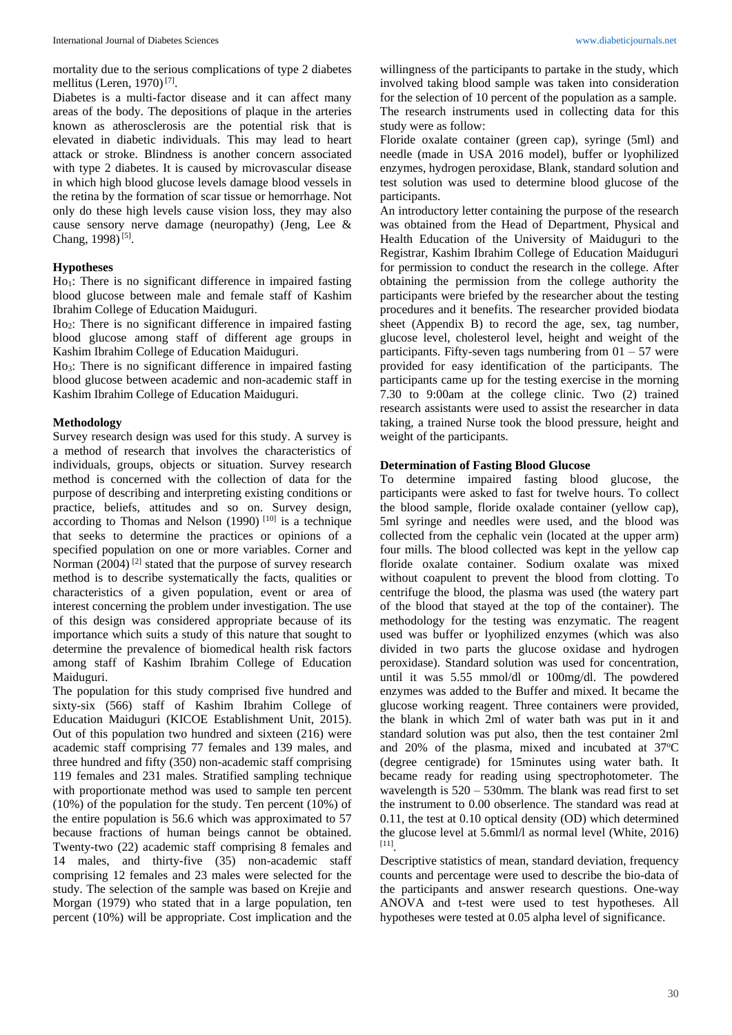mortality due to the serious complications of type 2 diabetes mellitus (Leren, 1970)<sup>[7]</sup>.

Diabetes is a multi-factor disease and it can affect many areas of the body. The depositions of plaque in the arteries known as atherosclerosis are the potential risk that is elevated in diabetic individuals. This may lead to heart attack or stroke. Blindness is another concern associated with type 2 diabetes. It is caused by microvascular disease in which high blood glucose levels damage blood vessels in the retina by the formation of scar tissue or hemorrhage. Not only do these high levels cause vision loss, they may also cause sensory nerve damage (neuropathy) (Jeng, Lee & Chang, 1998)<sup>[5]</sup>.

#### **Hypotheses**

Ho<sub>1</sub>: There is no significant difference in impaired fasting blood glucose between male and female staff of Kashim Ibrahim College of Education Maiduguri.

Ho2: There is no significant difference in impaired fasting blood glucose among staff of different age groups in Kashim Ibrahim College of Education Maiduguri.

Ho3: There is no significant difference in impaired fasting blood glucose between academic and non-academic staff in Kashim Ibrahim College of Education Maiduguri.

#### **Methodology**

Survey research design was used for this study. A survey is a method of research that involves the characteristics of individuals, groups, objects or situation. Survey research method is concerned with the collection of data for the purpose of describing and interpreting existing conditions or practice, beliefs, attitudes and so on. Survey design, according to Thomas and Nelson  $(1990)$ <sup>[10]</sup> is a technique that seeks to determine the practices or opinions of a specified population on one or more variables. Corner and Norman (2004)<sup>[2]</sup> stated that the purpose of survey research method is to describe systematically the facts, qualities or characteristics of a given population, event or area of interest concerning the problem under investigation. The use of this design was considered appropriate because of its importance which suits a study of this nature that sought to determine the prevalence of biomedical health risk factors among staff of Kashim Ibrahim College of Education Maiduguri.

The population for this study comprised five hundred and sixty-six (566) staff of Kashim Ibrahim College of Education Maiduguri (KICOE Establishment Unit, 2015). Out of this population two hundred and sixteen (216) were academic staff comprising 77 females and 139 males, and three hundred and fifty (350) non-academic staff comprising 119 females and 231 males. Stratified sampling technique with proportionate method was used to sample ten percent (10%) of the population for the study. Ten percent (10%) of the entire population is 56.6 which was approximated to 57 because fractions of human beings cannot be obtained. Twenty-two (22) academic staff comprising 8 females and 14 males, and thirty-five (35) non-academic staff comprising 12 females and 23 males were selected for the study. The selection of the sample was based on Krejie and Morgan (1979) who stated that in a large population, ten percent (10%) will be appropriate. Cost implication and the

willingness of the participants to partake in the study, which involved taking blood sample was taken into consideration for the selection of 10 percent of the population as a sample. The research instruments used in collecting data for this study were as follow:

Floride oxalate container (green cap), syringe (5ml) and needle (made in USA 2016 model), buffer or lyophilized enzymes, hydrogen peroxidase, Blank, standard solution and test solution was used to determine blood glucose of the participants.

An introductory letter containing the purpose of the research was obtained from the Head of Department, Physical and Health Education of the University of Maiduguri to the Registrar, Kashim Ibrahim College of Education Maiduguri for permission to conduct the research in the college. After obtaining the permission from the college authority the participants were briefed by the researcher about the testing procedures and it benefits. The researcher provided biodata sheet (Appendix B) to record the age, sex, tag number, glucose level, cholesterol level, height and weight of the participants. Fifty-seven tags numbering from  $01 - 57$  were provided for easy identification of the participants. The participants came up for the testing exercise in the morning 7.30 to 9:00am at the college clinic. Two (2) trained research assistants were used to assist the researcher in data taking, a trained Nurse took the blood pressure, height and weight of the participants.

### **Determination of Fasting Blood Glucose**

To determine impaired fasting blood glucose, the participants were asked to fast for twelve hours. To collect the blood sample, floride oxalade container (yellow cap), 5ml syringe and needles were used, and the blood was collected from the cephalic vein (located at the upper arm) four mills. The blood collected was kept in the yellow cap floride oxalate container. Sodium oxalate was mixed without coapulent to prevent the blood from clotting. To centrifuge the blood, the plasma was used (the watery part of the blood that stayed at the top of the container). The methodology for the testing was enzymatic. The reagent used was buffer or lyophilized enzymes (which was also divided in two parts the glucose oxidase and hydrogen peroxidase). Standard solution was used for concentration, until it was 5.55 mmol/dl or 100mg/dl. The powdered enzymes was added to the Buffer and mixed. It became the glucose working reagent. Three containers were provided, the blank in which 2ml of water bath was put in it and standard solution was put also, then the test container 2ml and  $20\%$  of the plasma, mixed and incubated at  $37^{\circ}$ C (degree centigrade) for 15minutes using water bath. It became ready for reading using spectrophotometer. The wavelength is  $520 - 530$  mm. The blank was read first to set the instrument to 0.00 obserlence. The standard was read at 0.11, the test at 0.10 optical density (OD) which determined the glucose level at 5.6mml/l as normal level (White, 2016) [11] .

Descriptive statistics of mean, standard deviation, frequency counts and percentage were used to describe the bio-data of the participants and answer research questions. One-way ANOVA and t-test were used to test hypotheses. All hypotheses were tested at 0.05 alpha level of significance.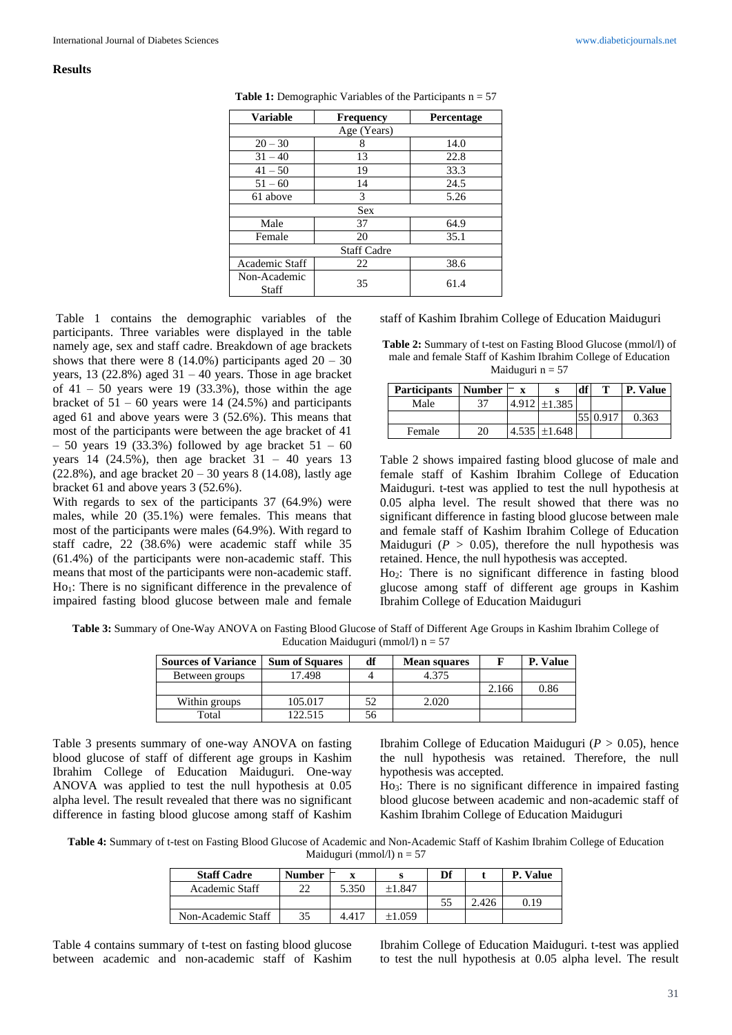#### **Results**

| <b>Variable</b>       | <b>Frequency</b> | Percentage |  |  |  |  |
|-----------------------|------------------|------------|--|--|--|--|
| Age (Years)           |                  |            |  |  |  |  |
| $20 - 30$             | 8                | 14.0       |  |  |  |  |
| $31 - 40$             | 13               | 22.8       |  |  |  |  |
| $41 - 50$             | 19               | 33.3       |  |  |  |  |
| $51 - 60$             | 14               | 24.5       |  |  |  |  |
| 61 above              | 3                | 5.26       |  |  |  |  |
| <b>Sex</b>            |                  |            |  |  |  |  |
| Male                  | 37               | 64.9       |  |  |  |  |
| Female                | 20               | 35.1       |  |  |  |  |
| <b>Staff Cadre</b>    |                  |            |  |  |  |  |
| <b>Academic Staff</b> | 22               | 38.6       |  |  |  |  |
| Non-Academic<br>Staff | 35               | 61.4       |  |  |  |  |

**Table 1:** Demographic Variables of the Participants n = 57

Table 1 contains the demographic variables of the participants. Three variables were displayed in the table namely age, sex and staff cadre. Breakdown of age brackets shows that there were  $8(14.0%)$  participants aged  $20 - 30$ years, 13 (22.8%) aged  $31 - 40$  years. Those in age bracket of  $41 - 50$  years were 19 (33.3%), those within the age bracket of  $51 - 60$  years were 14 (24.5%) and participants aged 61 and above years were 3 (52.6%). This means that most of the participants were between the age bracket of 41  $-50$  years 19 (33.3%) followed by age bracket  $51 - 60$ years 14 (24.5%), then age bracket  $31 - 40$  years 13  $(22.8\%)$ , and age bracket  $20 - 30$  years 8 (14.08), lastly age bracket 61 and above years 3 (52.6%).

With regards to sex of the participants 37 (64.9%) were males, while 20 (35.1%) were females. This means that most of the participants were males (64.9%). With regard to staff cadre, 22 (38.6%) were academic staff while 35 (61.4%) of the participants were non-academic staff. This means that most of the participants were non-academic staff.  $Ho_1$ : There is no significant difference in the prevalence of impaired fasting blood glucose between male and female

staff of Kashim Ibrahim College of Education Maiduguri

| <b>Table 2:</b> Summary of t-test on Fasting Blood Glucose (mmol/l) of |
|------------------------------------------------------------------------|
| male and female Staff of Kashim Ibrahim College of Education           |
| Maiduguri $n = 57$                                                     |

| <b>Participants</b> Number |    | X     | s      | df | т | P. Value |
|----------------------------|----|-------|--------|----|---|----------|
| Male                       | 37 | 4.912 | ±1.385 |    |   |          |
|                            |    |       |        |    |   | 0.363    |
| Female                     |    | 4.535 | ±1.648 |    |   |          |

Table 2 shows impaired fasting blood glucose of male and female staff of Kashim Ibrahim College of Education Maiduguri. t-test was applied to test the null hypothesis at 0.05 alpha level. The result showed that there was no significant difference in fasting blood glucose between male and female staff of Kashim Ibrahim College of Education Maiduguri ( $P > 0.05$ ), therefore the null hypothesis was retained. Hence, the null hypothesis was accepted.

Ho<sub>2</sub>: There is no significant difference in fasting blood glucose among staff of different age groups in Kashim Ibrahim College of Education Maiduguri

**Table 3:** Summary of One-Way ANOVA on Fasting Blood Glucose of Staff of Different Age Groups in Kashim Ibrahim College of Education Maiduguri (mmol/l)  $n = 57$ 

| <b>Sources of Variance</b> | <b>Sum of Squares</b> | df | <b>Mean squares</b> |       | <b>Value</b> |
|----------------------------|-----------------------|----|---------------------|-------|--------------|
| Between groups             | 7.498                 |    | 4.375               |       |              |
|                            |                       |    |                     | 2.166 | 0.86         |
| Within groups              | 105.017               | 52 | 2.020               |       |              |
| Total                      | 122.515               | 56 |                     |       |              |

Table 3 presents summary of one-way ANOVA on fasting blood glucose of staff of different age groups in Kashim Ibrahim College of Education Maiduguri. One-way ANOVA was applied to test the null hypothesis at 0.05 alpha level. The result revealed that there was no significant difference in fasting blood glucose among staff of Kashim

Ibrahim College of Education Maiduguri (*P >* 0.05), hence the null hypothesis was retained. Therefore, the null hypothesis was accepted.

Ho3: There is no significant difference in impaired fasting blood glucose between academic and non-academic staff of Kashim Ibrahim College of Education Maiduguri

**Table 4:** Summary of t-test on Fasting Blood Glucose of Academic and Non-Academic Staff of Kashim Ibrahim College of Education Maiduguri (mmol/l)  $n = 57$ 

| <b>Staff Cadre</b> | <b>Number</b> |       |        | Df |       | . Value |
|--------------------|---------------|-------|--------|----|-------|---------|
| Academic Staff     |               | 5.350 | ±1.847 |    |       |         |
|                    |               |       |        | 55 | 2.426 | 0.19    |
| Non-Academic Staff | 35            | 4.417 | +1 059 |    |       |         |

Table 4 contains summary of t-test on fasting blood glucose between academic and non-academic staff of Kashim Ibrahim College of Education Maiduguri. t-test was applied to test the null hypothesis at 0.05 alpha level. The result